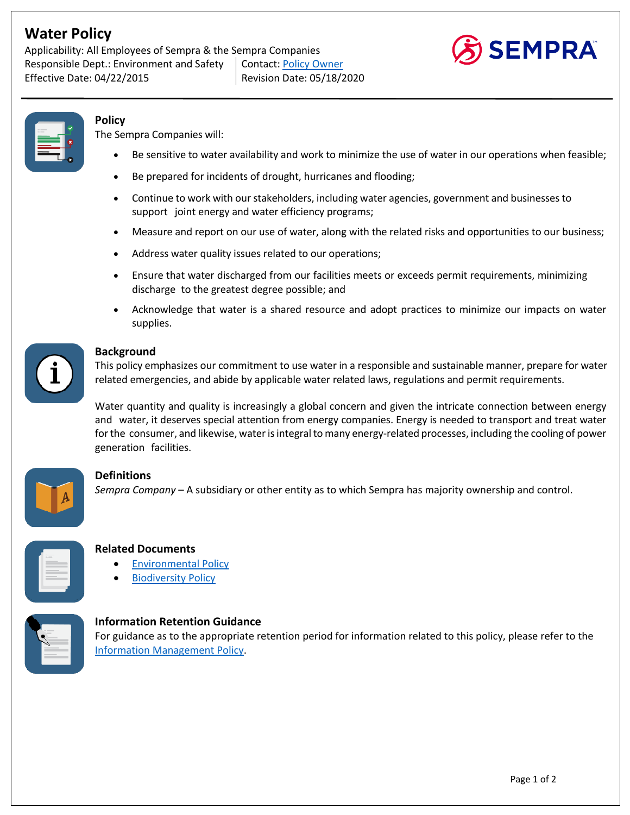# **Water Policy**

Applicability: All Employees of Sempra & the Sempra Companies Responsible Dept.: Environment and Safety | Contact: Policy Owner Effective Date: 04/22/2015 Revision Date: 05/18/2020





**Policy** 

The Sempra Companies will:

- Be sensitive to water availability and work to minimize the use of water in our operations when feasible;
- Be prepared for incidents of drought, hurricanes and flooding;
- Continue to work with our stakeholders, including water agencies, government and businesses to support joint energy and water efficiency programs;
- Measure and report on our use of water, along with the related risks and opportunities to our business;
- Address water quality issues related to our operations;
- Ensure that water discharged from our facilities meets or exceeds permit requirements, minimizing discharge to the greatest degree possible; and
- Acknowledge that water is a shared resource and adopt practices to minimize our impacts on water supplies.



#### **Background**

This policy emphasizes our commitment to use water in a responsible and sustainable manner, prepare for water related emergencies, and abide by applicable water related laws, regulations and permit requirements.

Water quantity and quality is increasingly a global concern and given the intricate connection between energy and water, it deserves special attention from energy companies. Energy is needed to transport and treat water for the consumer, and likewise, water is integral to many energy-related processes, including the cooling of power generation facilities.



### **Definitions**

*Sempra Company* – A subsidiary or other entity as to which Sempra has majority ownership and control.



#### **Related Documents**

- **Environmental Policy**
- **Biodiversity Policy**



#### **Information Retention Guidance**

For guidance as to the appropriate retention period for information related to this policy, please refer to the Information Management Policy.